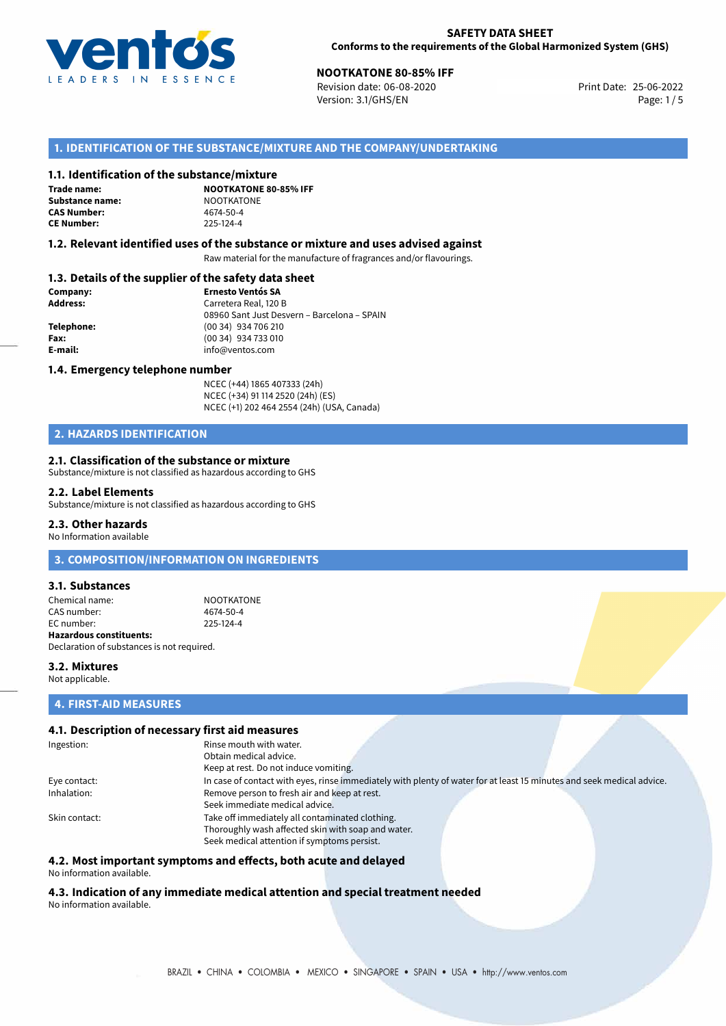

# **NOOTKATONE 80-85% IFF**<br>Revision date: 06-08-2020 **IFF**<br>Print Date: 25-06-2022

Revision date: 06-08-2020 Version: 3.1/GHS/EN Page: 1 / 5

# **1. IDENTIFICATION OF THE SUBSTANCE/MIXTURE AND THE COMPANY/UNDERTAKING**

#### **1.1. Identification of the substance/mixture**

**Trade name: Substance name:** NOOTKATONE<br> **CAS Number:** 4674-50-4 **CAS Number: CE Number:** 225-124-4

**NOOTKATONE 80-85% IFF**

#### **1.2. Relevant identified uses of the substance or mixture and uses advised against**

Raw material for the manufacture of fragrances and/or flavourings.

# **1.3. Details of the supplier of the safety data sheet**

| Company:   | <b>Ernesto Ventós SA</b>                    |
|------------|---------------------------------------------|
| Address:   | Carretera Real, 120 B                       |
|            | 08960 Sant Just Desvern - Barcelona - SPAIN |
| Telephone: | (00 34) 934 706 210                         |
| Fax:       | (00 34) 934 733 010                         |
| E-mail:    | info@ventos.com                             |
|            |                                             |

#### **1.4. Emergency telephone number**

NCEC (+44) 1865 407333 (24h) NCEC (+34) 91 114 2520 (24h) (ES) NCEC (+1) 202 464 2554 (24h) (USA, Canada)

# **2. HAZARDS IDENTIFICATION**

#### **2.1. Classification of the substance or mixture**

Substance/mixture is not classified as hazardous according to GHS

#### **2.2. Label Elements**

Substance/mixture is not classified as hazardous according to GHS

# **2.3. Other hazards**

No Information available

# **3. COMPOSITION/INFORMATION ON INGREDIENTS**

# **3.1. Substances**

Chemical name: NOOTKATONE CAS number: 4674-50-4<br>
FC number: 225-124-4  $FC number$ **Hazardous constituents:** Declaration of substances is not required.

**3.2. Mixtures** Not applicable.

#### **4. FIRST-AID MEASURES**

# **4.1. Description of necessary first aid measures**

| Ingestion:    | Rinse mouth with water.                                                                                               |  |  |  |
|---------------|-----------------------------------------------------------------------------------------------------------------------|--|--|--|
|               | Obtain medical advice.                                                                                                |  |  |  |
|               | Keep at rest. Do not induce vomiting.                                                                                 |  |  |  |
| Eye contact:  | In case of contact with eyes, rinse immediately with plenty of water for at least 15 minutes and seek medical advice. |  |  |  |
| Inhalation:   | Remove person to fresh air and keep at rest.                                                                          |  |  |  |
|               | Seek immediate medical advice.                                                                                        |  |  |  |
| Skin contact: | Take off immediately all contaminated clothing.                                                                       |  |  |  |
|               | Thoroughly wash affected skin with soap and water.                                                                    |  |  |  |
|               | Seek medical attention if symptoms persist.                                                                           |  |  |  |

# **4.2. Most important symptoms and effects, both acute and delayed**

No information available.

#### **4.3. Indication of any immediate medical attention and special treatment needed** No information available.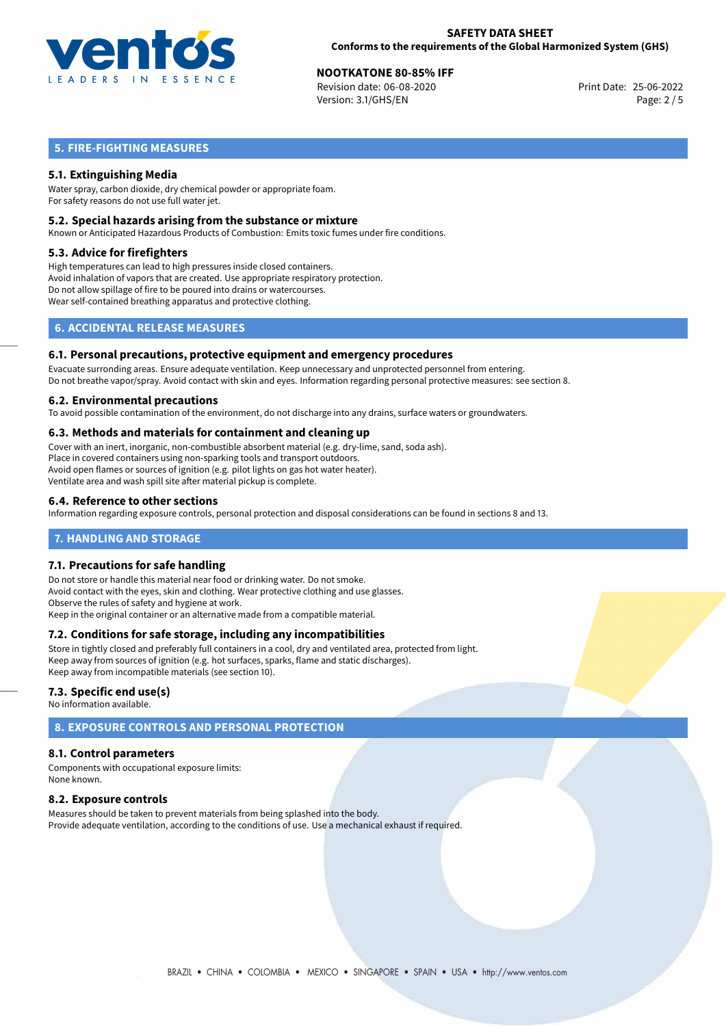

# **NOOTKATONE 80-85% IFF**<br>
Revision date: 06-08-2020<br> **Print Date: 25-06-2022**

Revision date: 06-08-2020 Version: 3.1/GHS/EN Page: 2 / 5

# **5. FIRE-FIGHTING MEASURES**

# **5.1. Extinguishing Media**

Water spray, carbon dioxide, dry chemical powder or appropriate foam. For safety reasons do not use full water jet.

### **5.2. Special hazards arising from the substance or mixture**

Known or Anticipated Hazardous Products of Combustion: Emits toxic fumes under fire conditions.

#### **5.3. Advice for firefighters**

High temperatures can lead to high pressures inside closed containers. Avoid inhalation of vapors that are created. Use appropriate respiratory protection. Do not allow spillage of fire to be poured into drains or watercourses. Wear self-contained breathing apparatus and protective clothing.

# **6. ACCIDENTAL RELEASE MEASURES**

#### **6.1. Personal precautions, protective equipment and emergency procedures**

Evacuate surronding areas. Ensure adequate ventilation. Keep unnecessary and unprotected personnel from entering. Do not breathe vapor/spray. Avoid contact with skin and eyes. Information regarding personal protective measures: see section 8.

#### **6.2. Environmental precautions**

To avoid possible contamination of the environment, do not discharge into any drains, surface waters or groundwaters.

# **6.3. Methods and materials for containment and cleaning up**

Cover with an inert, inorganic, non-combustible absorbent material (e.g. dry-lime, sand, soda ash). Place in covered containers using non-sparking tools and transport outdoors. Avoid open flames or sources of ignition (e.g. pilot lights on gas hot water heater). Ventilate area and wash spill site after material pickup is complete.

# **6.4. Reference to other sections**

Information regarding exposure controls, personal protection and disposal considerations can be found in sections 8 and 13.

# **7. HANDLING AND STORAGE**

# **7.1. Precautions for safe handling**

Do not store or handle this material near food or drinking water. Do not smoke. Avoid contact with the eyes, skin and clothing. Wear protective clothing and use glasses. Observe the rules of safety and hygiene at work. Keep in the original container or an alternative made from a compatible material.

# **7.2. Conditions for safe storage, including any incompatibilities**

Store in tightly closed and preferably full containers in a cool, dry and ventilated area, protected from light. Keep away from sources of ignition (e.g. hot surfaces, sparks, flame and static discharges). Keep away from incompatible materials (see section 10).

# **7.3. Specific end use(s)**

No information available.

# **8. EXPOSURE CONTROLS AND PERSONAL PROTECTION**

# **8.1. Control parameters**

Components with occupational exposure limits: None known.

# **8.2. Exposure controls**

Measures should be taken to prevent materials from being splashed into the body. Provide adequate ventilation, according to the conditions of use. Use a mechanical exhaust if required.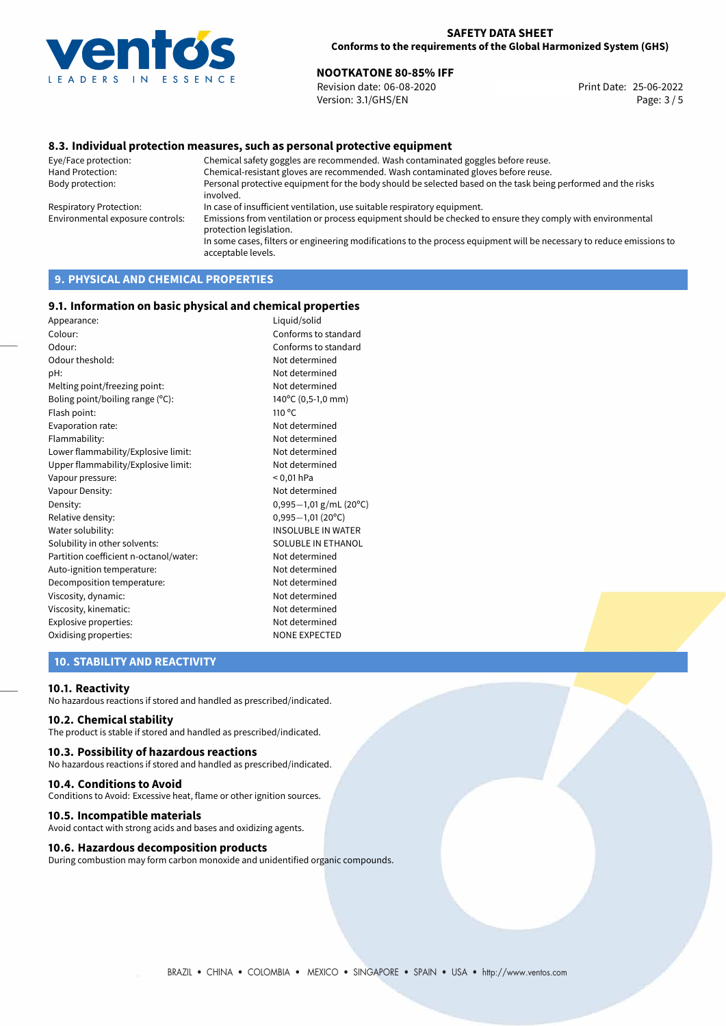

# **NOOTKATONE 80-85% IFF**<br>Revision date: 06-08-2020 **Print Date: 25-06-2022**

Revision date: 06-08-2020 Version: 3.1/GHS/EN Page: 3 / 5

# **8.3. Individual protection measures, such as personal protective equipment**

Eye/Face protection: Chemical safety goggles are recommended. Wash contaminated goggles before reuse. Chemical-resistant gloves are recommended. Wash contaminated gloves before reuse. Body protection: Personal protective equipment for the body should be selected based on the task being performed and the risks involved. Respiratory Protection: In case of insufficient ventilation, use suitable respiratory equipment. Environmental exposure controls: Emissions from ventilation or process equipment should be checked to ensure they comply with environmental protection legislation. In some cases, filters or engineering modifications to the process equipment will be necessary to reduce emissions to acceptable levels.

# **9. PHYSICAL AND CHEMICAL PROPERTIES**

#### **9.1. Information on basic physical and chemical properties**

| Appearance:                            | Liquid/solid              |
|----------------------------------------|---------------------------|
| Colour:                                | Conforms to standard      |
| Odour:                                 | Conforms to standard      |
| Odour theshold:                        | Not determined            |
| pH:                                    | Not determined            |
| Melting point/freezing point:          | Not determined            |
| Boling point/boiling range (°C):       | 140°C (0,5-1,0 mm)        |
| Flash point:                           | $110^{\circ}$ C           |
| Evaporation rate:                      | Not determined            |
| Flammability:                          | Not determined            |
| Lower flammability/Explosive limit:    | Not determined            |
| Upper flammability/Explosive limit:    | Not determined            |
| Vapour pressure:                       | $< 0.01$ hPa              |
| Vapour Density:                        | Not determined            |
| Density:                               | $0,995-1,01$ g/mL (20°C)  |
| Relative density:                      | $0,995 - 1,01$ (20°C)     |
| Water solubility:                      | <b>INSOLUBLE IN WATER</b> |
| Solubility in other solvents:          | SOLUBLE IN ETHANOL        |
| Partition coefficient n-octanol/water: | Not determined            |
| Auto-ignition temperature:             | Not determined            |
| Decomposition temperature:             | Not determined            |
| Viscosity, dynamic:                    | Not determined            |
| Viscosity, kinematic:                  | Not determined            |
| Explosive properties:                  | Not determined            |
| Oxidising properties:                  | <b>NONE EXPECTED</b>      |
|                                        |                           |

# **10. STABILITY AND REACTIVITY**

#### **10.1. Reactivity**

No hazardous reactions if stored and handled as prescribed/indicated.

# **10.2. Chemical stability**

The product is stable if stored and handled as prescribed/indicated.

#### **10.3. Possibility of hazardous reactions**

No hazardous reactions if stored and handled as prescribed/indicated.

#### **10.4. Conditions to Avoid**

Conditions to Avoid: Excessive heat, flame or other ignition sources.

### **10.5. Incompatible materials**

Avoid contact with strong acids and bases and oxidizing agents.

### **10.6. Hazardous decomposition products**

During combustion may form carbon monoxide and unidentified organic compounds.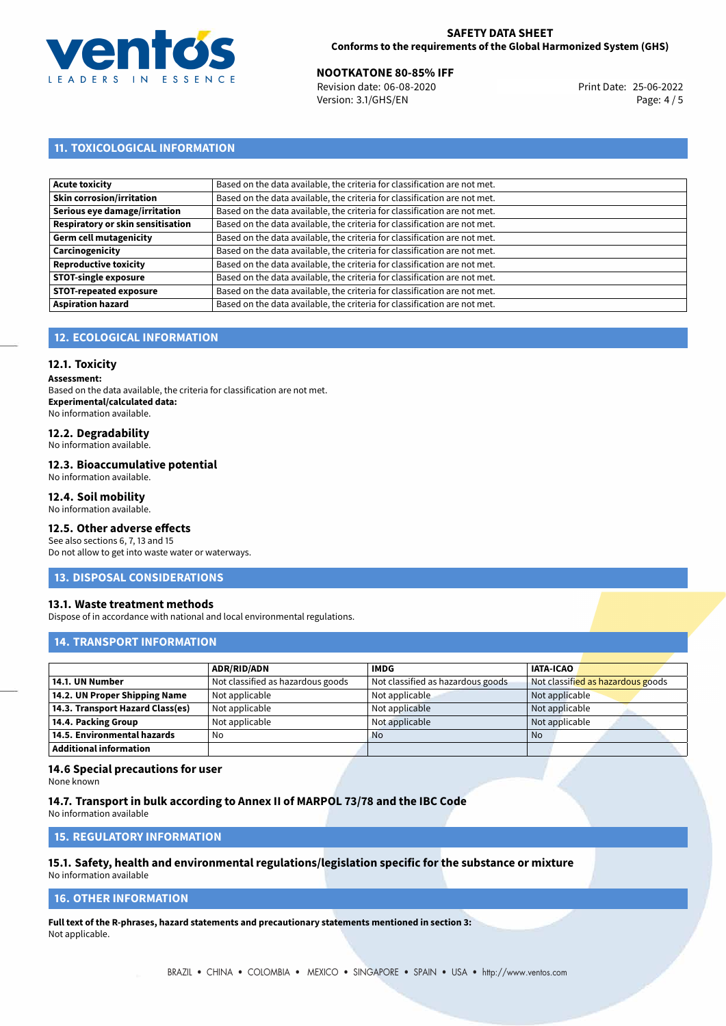

# **NOOTKATONE 80-85% IFF**<br>Revision date: 06-08-2020 **Print Date: 25-06-2022**

Revision date: 06-08-2020 Version: 3.1/GHS/EN Page: 4 / 5

# **11. TOXICOLOGICAL INFORMATION**

| Acute toxicity                    | Based on the data available, the criteria for classification are not met. |
|-----------------------------------|---------------------------------------------------------------------------|
| Skin corrosion/irritation         | Based on the data available, the criteria for classification are not met. |
| Serious eye damage/irritation     | Based on the data available, the criteria for classification are not met. |
| Respiratory or skin sensitisation | Based on the data available, the criteria for classification are not met. |
| Germ cell mutagenicity            | Based on the data available, the criteria for classification are not met. |
| <b>Carcinogenicity</b>            | Based on the data available, the criteria for classification are not met. |
| Reproductive toxicity             | Based on the data available, the criteria for classification are not met. |
| <b>STOT-single exposure</b>       | Based on the data available, the criteria for classification are not met. |
| <b>STOT-repeated exposure</b>     | Based on the data available, the criteria for classification are not met. |
| <b>Aspiration hazard</b>          | Based on the data available, the criteria for classification are not met. |

# **12. ECOLOGICAL INFORMATION**

# **12.1. Toxicity**

**Assessment:**

Based on the data available, the criteria for classification are not met. **Experimental/calculated data:** No information available.

# **12.2. Degradability**

No information available.

### **12.3. Bioaccumulative potential**

No information available.

# **12.4. Soil mobility**

No information available.

# **12.5. Other adverse effects**

See also sections 6, 7, 13 and 15 Do not allow to get into waste water or waterways.

# **13. DISPOSAL CONSIDERATIONS**

# **13.1. Waste treatment methods**

Dispose of in accordance with national and local environmental regulations.

# **14. TRANSPORT INFORMATION**

|                                  | <b>ADR/RID/ADN</b>                | <b>IMDG</b>                       | <b>IATA-ICAO</b>                  |
|----------------------------------|-----------------------------------|-----------------------------------|-----------------------------------|
| 14.1. UN Number                  | Not classified as hazardous goods | Not classified as hazardous goods | Not classified as hazardous goods |
| 14.2. UN Proper Shipping Name    | Not applicable                    | Not applicable                    | Not applicable                    |
| 14.3. Transport Hazard Class(es) | Not applicable                    | Not applicable                    | Not applicable                    |
| 14.4. Packing Group              | Not applicable                    | Not applicable                    | Not applicable                    |
| 14.5. Environmental hazards      | No                                | <b>No</b>                         | No                                |
| <b>Additional information</b>    |                                   |                                   |                                   |

# **14.6 Special precautions for user**

None known

### **14.7. Transport in bulk according to Annex II of MARPOL 73/78 and the IBC Code**

No information available

# **15. REGULATORY INFORMATION**

# **15.1. Safety, health and environmental regulations/legislation specific for the substance or mixture**

No information available

# **16. OTHER INFORMATION**

**Full text of the R-phrases, hazard statements and precautionary statements mentioned in section 3:** Not applicable.